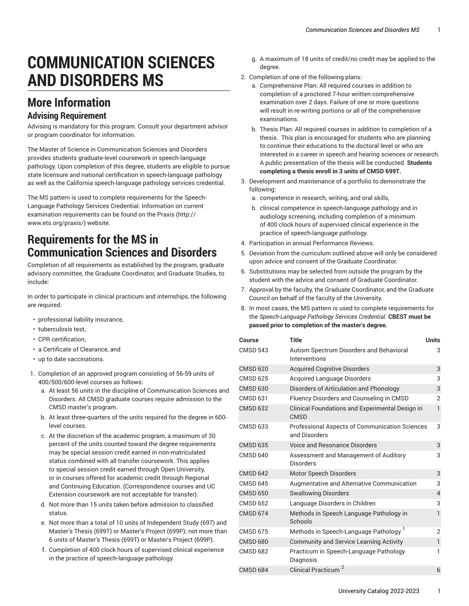# **COMMUNICATION SCIENCES AND DISORDERS MS**

## **More Information**

#### **Advising Requirement**

Advising is mandatory for this program. Consult your department advisor or program coordinator for information.

The Master of Science in Communication Sciences and Disorders provides students graduate-level coursework in speech-language pathology. Upon completion of this degree, students are eligible to pursue state licensure and national certification in speech-language pathology as well as the California speech-language pathology services credential.

The MS pattern is used to complete requirements for the Speech-Language Pathology Services Credential. Information on current examination requirements can be found on the [Praxis \(http://](http://www.ets.org/praxis/) [www.ets.org/praxis/](http://www.ets.org/praxis/)) website.

#### **Requirements for the MS in Communication Sciences and Disorders**

Completion of all requirements as established by the program, graduate advisory committee, the Graduate Coordinator, and Graduate Studies, to include:

In order to participate in clinical practicum and internships, the following are required:

- professional liability insurance,
- tuberculosis test,
- CPR certification,
- a Certificate of Clearance, and
- up to date vaccinations.
- 1. Completion of an approved program consisting of 56-59 units of 400/500/600-level courses as follows:
	- a. At least 56 units in the discipline of Communication Sciences and Disorders. All CMSD graduate courses require admission to the CMSD master's program.
	- b. At least three-quarters of the units required for the degree in 600 level courses.
	- c. At the discretion of the academic program, a maximum of 30 percent of the units counted toward the degree requirements may be special session credit earned in non-matriculated status combined with all transfer coursework. This applies to special session credit earned through Open University, or in courses offered for academic credit through Regional and Continuing Education. (Correspondence courses and UC Extension coursework are not acceptable for transfer).
	- d. Not more than 15 units taken before admission to classified status.
	- e. Not more than a total of 10 units of Independent Study (697) and Master's Thesis (699T) or Master's Project (699P); not more than 6 units of Master's Thesis (699T) or Master's Project (699P).
	- f. Completion of 400 clock hours of supervised clinical experience in the practice of speech-language pathology.
- g. A maximum of 18 units of credit/no credit may be applied to the degree.
- 2. Completion of one of the following plans:
	- a. Comprehensive Plan: All required courses in addition to completion of a proctored 7-hour written comprehensive examination over 2 days. Failure of one or more questions will result in re-writing portions or all of the comprehensive examinations.
	- b. Thesis Plan: All required courses in addition to completion of a thesis. This plan is encouraged for students who are planning to continue their educations to the doctoral level or who are interested in a career in speech and hearing sciences or research. A public presentation of the thesis will be conducted. **Students completing a thesis enroll in 3 units of CMSD 699T.**
- 3. Development and maintenance of a portfolio to demonstrate the following:
	- a. competence in research, writing, and oral skills,
	- b. clinical competence in speech-language pathology and in audiology screening, including completion of a minimum of 400 clock hours of supervised clinical experience in the practice of speech-language pathology.
- 4. Participation in annual Performance Reviews.
- 5. Deviation from the curriculum outlined above will only be considered upon advice and consent of the Graduate Coordinator.
- 6. Substitutions may be selected from outside the program by the student with the advice and consent of Graduate Coordinator.
- 7. Approval by the faculty, the Graduate Coordinator, and the Graduate Council on behalf of the faculty of the University.
- 8. In most cases, the MS pattern is used to complete requirements for the *Speech-Language Pathology Services Credential*. **CBEST must be passed prior to completion of the master's degree.**

| Course          | <b>Title</b>                                                           | <b>Units</b>   |
|-----------------|------------------------------------------------------------------------|----------------|
| <b>CMSD 543</b> | Autism Spectrum Disorders and Behavioral<br>Interventions              | 3              |
| <b>CMSD 620</b> | <b>Acquired Cognitive Disorders</b>                                    | 3              |
| <b>CMSD 625</b> | <b>Acquired Language Disorders</b>                                     | 3              |
| <b>CMSD 630</b> | Disorders of Articulation and Phonology                                | 3              |
| <b>CMSD 631</b> | Fluency Disorders and Counseling in CMSD                               | $\overline{2}$ |
| <b>CMSD 632</b> | Clinical Foundations and Experimental Design in<br><b>CMSD</b>         | $\mathbf{1}$   |
| <b>CMSD 633</b> | <b>Professional Aspects of Communication Sciences</b><br>and Disorders | 3              |
| <b>CMSD 635</b> | <b>Voice and Resonance Disorders</b>                                   | 3              |
| <b>CMSD 640</b> | Assessment and Management of Auditory<br><b>Disorders</b>              | 3              |
| <b>CMSD 642</b> | Motor Speech Disorders                                                 | 3              |
| <b>CMSD 645</b> | Augmentative and Alternative Communication                             | 3              |
| <b>CMSD 650</b> | <b>Swallowing Disorders</b>                                            | $\overline{4}$ |
| <b>CMSD 652</b> | Language Disorders in Children                                         | 3              |
| <b>CMSD 674</b> | Methods in Speech Language Pathology in<br>Schools                     | 1              |
| <b>CMSD 675</b> | Methods in Speech-Language Pathology <sup>1</sup>                      | $\overline{2}$ |
| <b>CMSD 680</b> | <b>Community and Service Learning Activity</b>                         | $\mathbf{1}$   |
| <b>CMSD 682</b> | Practicum in Speech-Language Pathology<br>Diagnosis                    | 1              |
| <b>CMSD 684</b> | <b>Clinical Practicum</b>                                              | 6              |